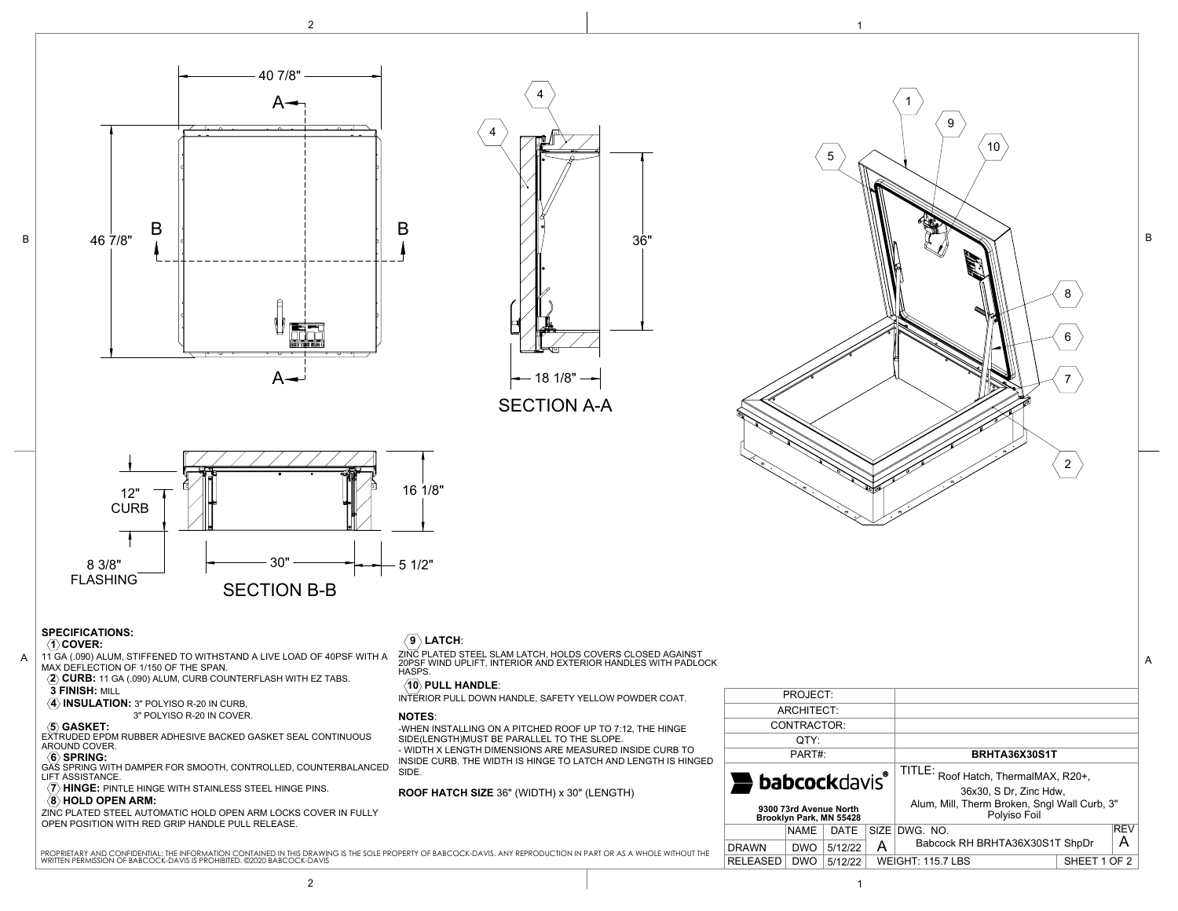





SECTION A-A



## **SPECIFICATIONS:**

 **3 FINISH:** MILL

AROUND COVER.

LIFT ASSISTANCE.

**8 HOLD OPEN ARM:** 

 $\langle \overline{4} \rangle$  **INSULATION:** 3" POLYISO R-20 IN CURB,

#### **1 COVER:**

B

11 GA (.090) ALUM, STIFFENED TO WITHSTAND A LIVE LOAD OF 40PSF WITH A MAX DEFLECTION OF 1/150 OF THE SPAN. **2 CURB:** 11 GA (.090) ALUM, CURB COUNTERFLASH WITH EZ TABS. ZINC PLATED STEEL SLAM LATCH, HOLDS COVERS CLOSED AGAINST 20PSF WIND UPLIFT, INTERIOR AND EXTERIOR HANDLES WITH PADLOCK A A

**(6) SPRING:**<br>GAS SPRING WITH DAMPER FOR SMOOTH, CONTROLLED, COUNTERBALANCED

ZINC PLATED STEEL AUTOMATIC HOLD OPEN ARM LOCKS COVER IN FULLY

 3" POLYISO R-20 IN COVER.  **5 GASKET:** EXTRUDED EPDM RUBBER ADHESIVE BACKED GASKET SEAL CONTINUOUS

*(7)* **HINGE:** PINTLE HINGE WITH STAINLESS STEEL HINGE PINS.

OPEN POSITION WITH RED GRIP HANDLE PULL RELEASE.

# $\langle 9 \rangle$  LATCH:



HASPS.

### **10 PULL HANDLE**:

INTERIOR PULL DOWN HANDLE, SAFETY YELLOW POWDER COAT.

### **NOTES**:

-WHEN INSTALLING ON A PITCHED ROOF UP TO 7:12, THE HINGE SIDE(LENGTH)MUST BE PARALLEL TO THE SLOPE.

- WIDTH X LENGTH DIMENSIONS ARE MEASURED INSIDE CURB TO INSIDE CURB. THE WIDTH IS HINGE TO LATCH AND LENGTH IS HINGED SIDE.

**ROOF HATCH SIZE** 36" (WIDTH) x 30" (LENGTH)

| PROJECT:                                          |             |         |                                          |                                                                |  |            |
|---------------------------------------------------|-------------|---------|------------------------------------------|----------------------------------------------------------------|--|------------|
| ARCHITECT:                                        |             |         |                                          |                                                                |  |            |
| CONTRACTOR:                                       |             |         |                                          |                                                                |  |            |
| QTY:                                              |             |         |                                          |                                                                |  |            |
| PART#:                                            |             |         |                                          | BRHTA36X30S1T                                                  |  |            |
| <b>babcockdavis®</b>                              |             |         |                                          | TITLE: Roof Hatch, ThermalMAX, R20+,<br>36x30, S Dr, Zinc Hdw, |  |            |
| 9300 73rd Avenue North<br>Brooklyn Park, MN 55428 |             |         |                                          | Alum, Mill, Therm Broken, Sngl Wall Curb, 3"<br>Polyiso Foil   |  |            |
|                                                   | <b>NAME</b> | DATE    | SIZE                                     | DWG. NO.                                                       |  | <b>REV</b> |
| <b>DRAWN</b>                                      | <b>DWO</b>  | 5/12/22 | А                                        | Babcock RH BRHTA36X30S1T ShpDr                                 |  | А          |
| <b>RELEASED</b>                                   | <b>DWO</b>  | 5/12/22 | SHEET 1 OF 2<br><b>WEIGHT: 115.7 LBS</b> |                                                                |  |            |
|                                                   |             |         |                                          |                                                                |  |            |

2

6

7

8

B

1

9

10

5

PROPRIETARY AND CONFIDENTAL: THE INFORMATION CONTAINED IN THIS DRAWING IS THE SOLE PROPERTY OF BABCOCK-DAVIS. ANY REPRODUCTION IN PART OR AS A WHOLE WITHOUT THE<br>WRITTEN PERMISSION OF BABCOCK-DAVIS IS PROHIBITED. @2020 BABC

2 and  $\overline{1}$  1